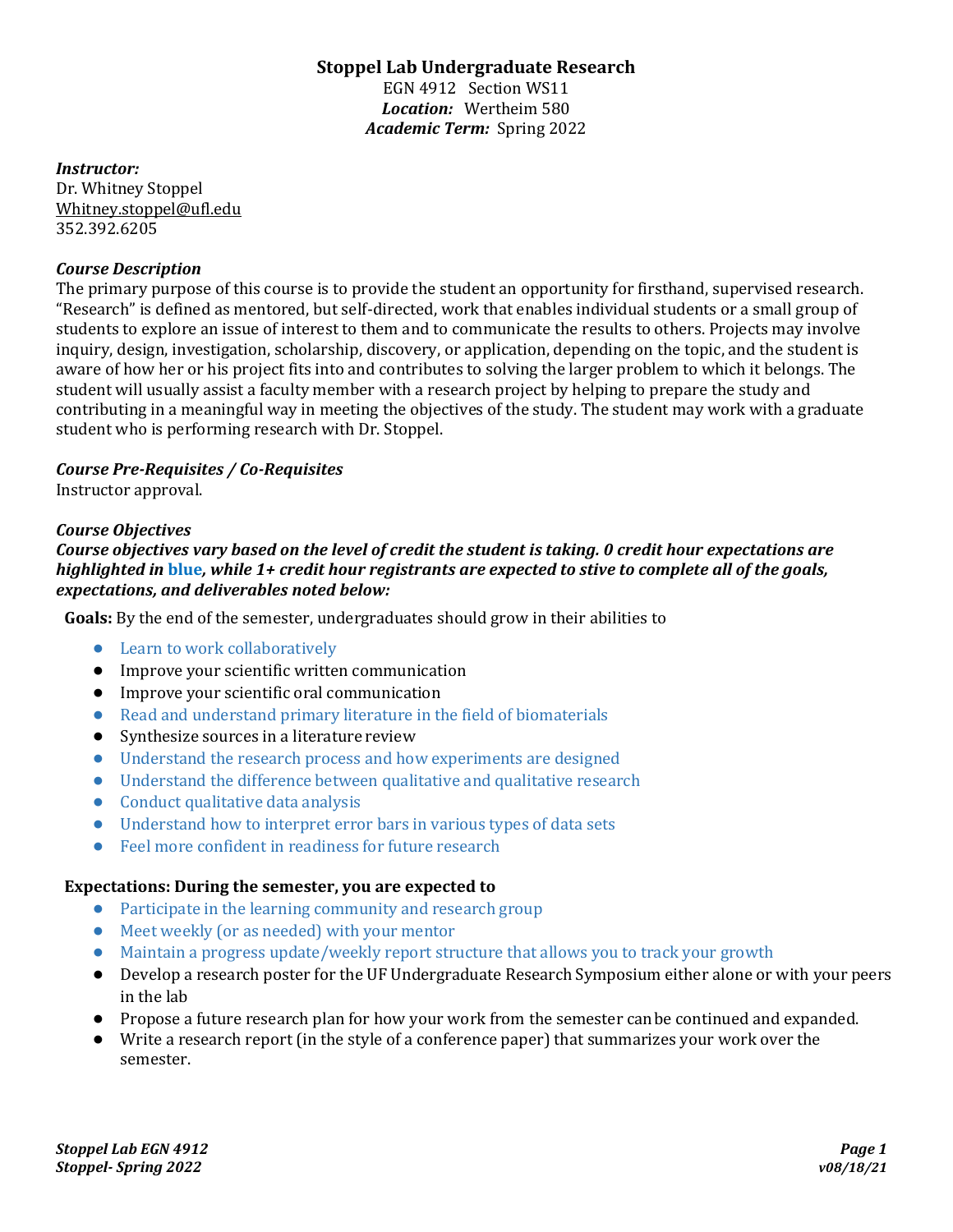# **Stoppel Lab Undergraduate Research**

EGN 4912 Section WS11 *Location:* Wertheim 580 *Academic Term:* Spring 2022

#### *Instructor:*

Dr. Whitney Stoppel Whitney.stoppel@ufl.edu 352.392.6205

### *Course Description*

The primary purpose of this course is to provide the student an opportunity for firsthand, supervised research. "Research" is defined as mentored, but self-directed, work that enables individual students or a small group of students to explore an issue of interest to them and to communicate the results to others. Projects may involve inquiry, design, investigation, scholarship, discovery, or application, depending on the topic, and the student is aware of how her or his project fits into and contributes to solving the larger problem to which it belongs. The student will usually assist a faculty member with a research project by helping to prepare the study and contributing in a meaningful way in meeting the objectives of the study. The student may work with a graduate student who is performing research with Dr. Stoppel.

### *Course Pre-Requisites / Co-Requisites*

Instructor approval.

#### *Course Objectives*

*Course objectives vary based on the level of credit the student is taking. 0 credit hour expectations are highlighted in* **blue***, while 1+ credit hour registrants are expected to stive to complete all of the goals, expectations, and deliverables noted below:*

**Goals:** By the end of the semester, undergraduates should grow in their abilities to

- Learn to work collaboratively
- Improve your scientific written communication
- Improve your scientific oral communication
- Read and understand primary literature in the field of biomaterials
- Synthesize sources in a literature review
- Understand the research process and how experiments are designed
- Understand the difference between qualitative and qualitative research
- Conduct qualitative data analysis
- Understand how to interpret error bars in various types of data sets
- Feel more confident in readiness for future research

### **Expectations: During the semester, you are expected to**

- Participate in the learning community and research group
- Meet weekly (or as needed) with your mentor
- Maintain a progress update/weekly report structure that allows you to track your growth
- Develop a research poster for the UF Undergraduate Research Symposium either alone or with your peers in the lab
- Propose a future research plan for how your work from the semester canbe continued and expanded.
- Write a research report (in the style of a conference paper) that summarizes your work over the semester.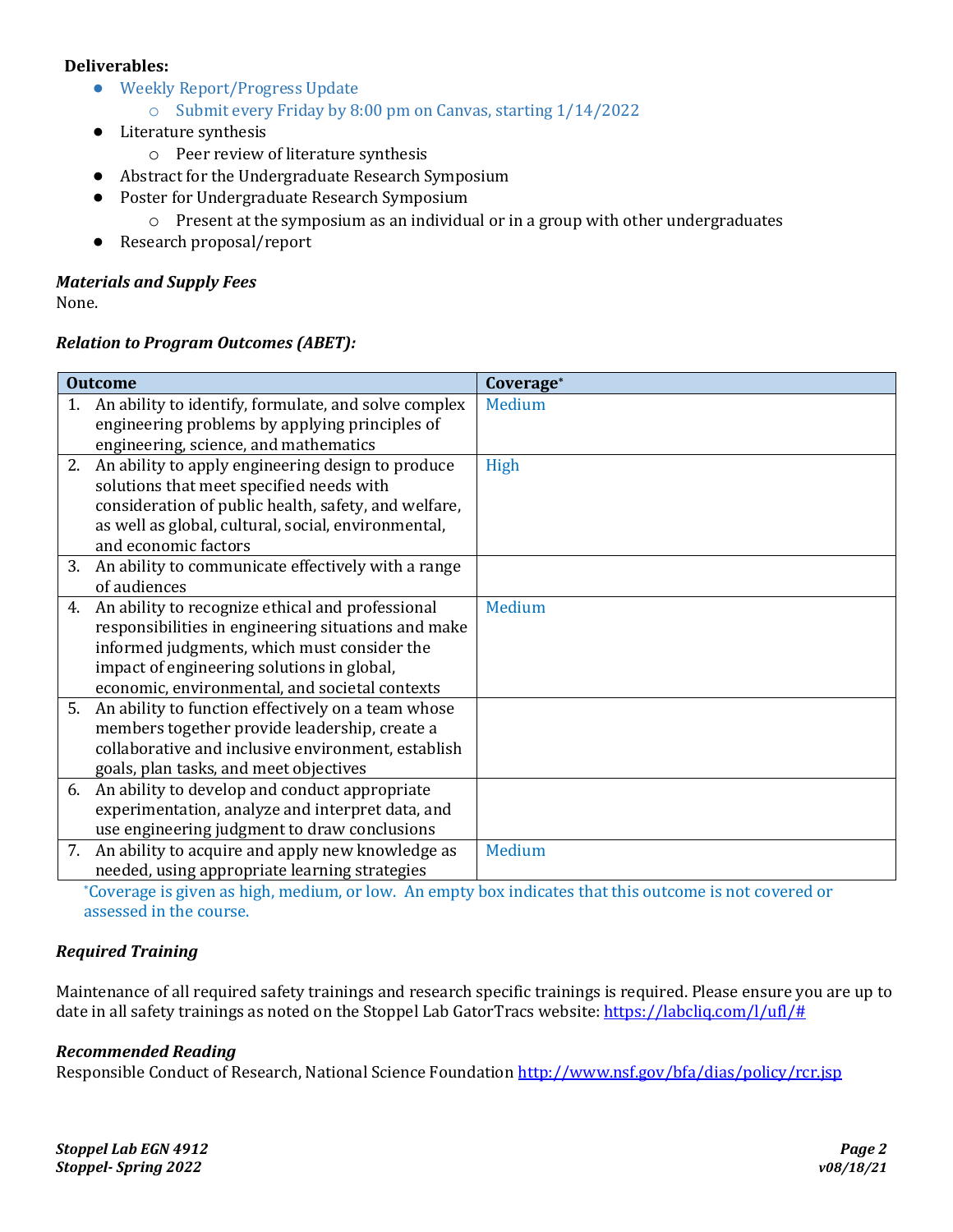### **Deliverables:**

- Weekly Report/Progress Update
	- o Submit every Friday by 8:00 pm on Canvas, starting 1/14/2022
- Literature synthesis
	- o Peer review of literature synthesis
- Abstract for the Undergraduate Research Symposium
- Poster for Undergraduate Research Symposium
	- $\circ$  Present at the symposium as an individual or in a group with other undergraduates
- Research proposal/report

# *Materials and Supply Fees*

None.

### *Relation to Program Outcomes (ABET):*

| <b>Outcome</b> |                                                      | Coverage* |
|----------------|------------------------------------------------------|-----------|
| 1.             | An ability to identify, formulate, and solve complex | Medium    |
|                | engineering problems by applying principles of       |           |
|                | engineering, science, and mathematics                |           |
| 2.             | An ability to apply engineering design to produce    | High      |
|                | solutions that meet specified needs with             |           |
|                | consideration of public health, safety, and welfare, |           |
|                | as well as global, cultural, social, environmental,  |           |
|                | and economic factors                                 |           |
| 3.             | An ability to communicate effectively with a range   |           |
|                | of audiences                                         |           |
| 4.             | An ability to recognize ethical and professional     | Medium    |
|                | responsibilities in engineering situations and make  |           |
|                | informed judgments, which must consider the          |           |
|                | impact of engineering solutions in global,           |           |
|                | economic, environmental, and societal contexts       |           |
| 5.             | An ability to function effectively on a team whose   |           |
|                | members together provide leadership, create a        |           |
|                | collaborative and inclusive environment, establish   |           |
|                | goals, plan tasks, and meet objectives               |           |
| 6.             | An ability to develop and conduct appropriate        |           |
|                | experimentation, analyze and interpret data, and     |           |
|                | use engineering judgment to draw conclusions         |           |
| 7.             | An ability to acquire and apply new knowledge as     | Medium    |
|                | needed, using appropriate learning strategies        |           |

\*Coverage is given as high, medium, or low. An empty box indicates that this outcome is not covered or assessed in the course.

### *Required Training*

Maintenance of all required safety trainings and research specific trainings is required. Please ensure you are up to date in all safety trainings as noted on the Stoppel Lab GatorTracs website: [https://labcliq.com/l/ufl/#](https://labcliq.com/l/ufl/)

### *Recommended Reading*

Responsible Conduct of Research, National Science Foundation<http://www.nsf.gov/bfa/dias/policy/rcr.jsp>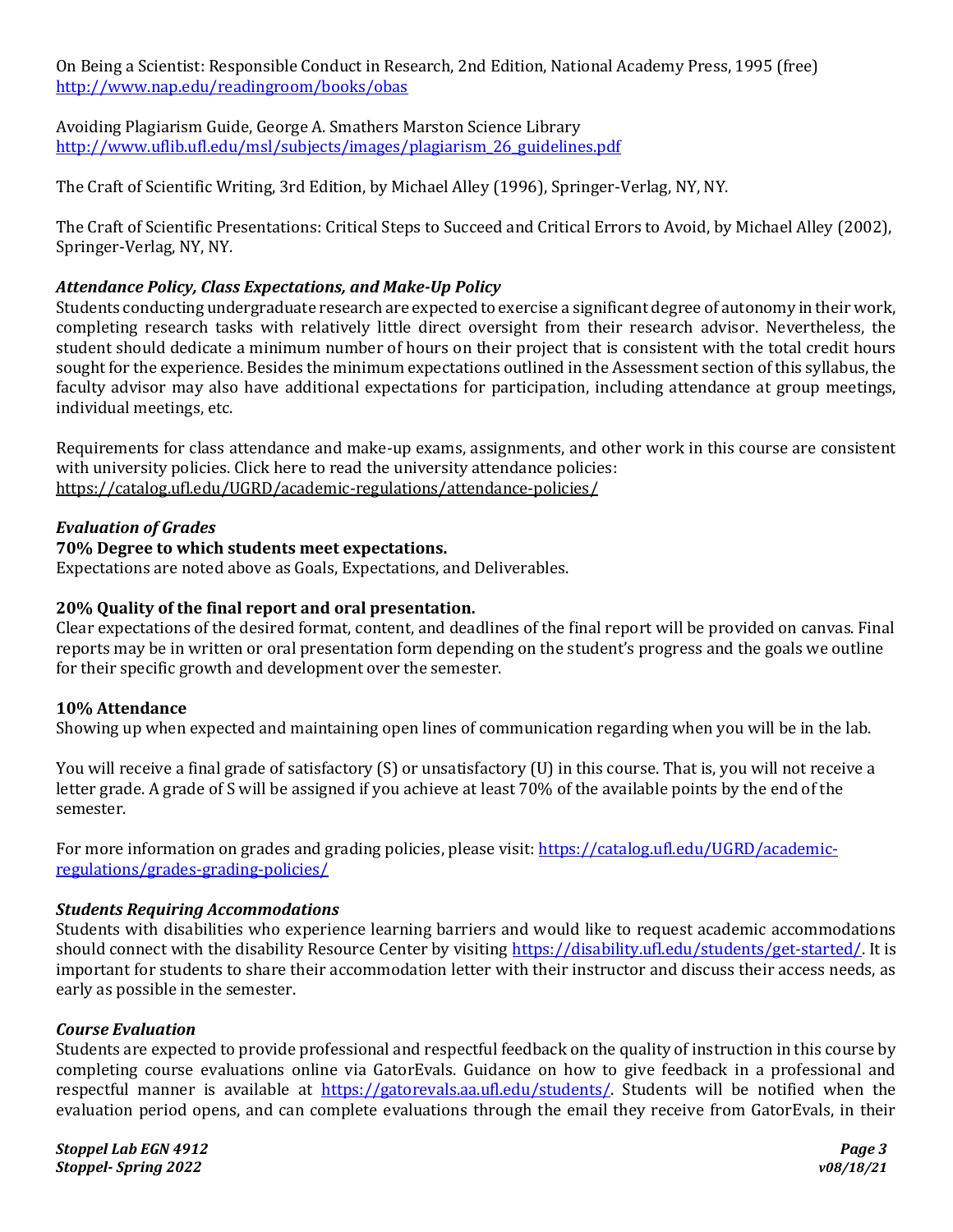On Being a Scientist: Responsible Conduct in Research, 2nd Edition, National Academy Press, 1995 (free) <http://www.nap.edu/readingroom/books/obas>

Avoiding Plagiarism Guide, George A. Smathers Marston Science Library [http://www.uflib.ufl.edu/msl/subjects/images/plagiarism\\_26\\_guidelines.pdf](http://www.uflib.ufl.edu/msl/subjects/images/plagiarism_26_guidelines.pdf)

The Craft of Scientific Writing, 3rd Edition, by Michael Alley (1996), Springer-Verlag, NY, NY.

The Craft of Scientific Presentations: Critical Steps to Succeed and Critical Errors to Avoid, by Michael Alley (2002), Springer-Verlag, NY, NY.

### *Attendance Policy, Class Expectations, and Make-Up Policy*

Students conducting undergraduate research are expected to exercise a significant degree of autonomy in their work, completing research tasks with relatively little direct oversight from their research advisor. Nevertheless, the student should dedicate a minimum number of hours on their project that is consistent with the total credit hours sought for the experience. Besides the minimum expectations outlined in the Assessment section of this syllabus, the faculty advisor may also have additional expectations for participation, including attendance at group meetings, individual meetings, etc.

Requirements for class attendance and make-up exams, assignments, and other work in this course are consistent with university policies. Click here to read the university attendance policies: <https://catalog.ufl.edu/UGRD/academic-regulations/attendance-policies/>

#### *Evaluation of Grades*

### **70% Degree to which students meet expectations.**

Expectations are noted above as Goals, Expectations, and Deliverables.

#### **20% Quality of the final report and oral presentation.**

Clear expectations of the desired format, content, and deadlines of the final report will be provided on canvas. Final reports may be in written or oral presentation form depending on the student's progress and the goals we outline for their specific growth and development over the semester.

#### **10% Attendance**

Showing up when expected and maintaining open lines of communication regarding when you will be in the lab.

You will receive a final grade of satisfactory (S) or unsatisfactory (U) in this course. That is, you will not receive a letter grade. A grade of S will be assigned if you achieve at least 70% of the available points by the end of the semester.

For more information on grades and grading policies, please visit: [https://catalog.ufl.edu/UGRD/academic](https://catalog.ufl.edu/UGRD/academic-regulations/grades-grading-policies/)[regulations/grades-grading-policies/](https://catalog.ufl.edu/UGRD/academic-regulations/grades-grading-policies/)

#### *Students Requiring Accommodations*

Students with disabilities who experience learning barriers and would like to request academic accommodations should connect with the disability Resource Center by visiting [https://disability.ufl.edu/students/get-started/.](https://disability.ufl.edu/students/get-started/) It is important for students to share their accommodation letter with their instructor and discuss their access needs, as early as possible in the semester.

#### *Course Evaluation*

Students are expected to provide professional and respectful feedback on the quality of instruction in this course by completing course evaluations online via GatorEvals. Guidance on how to give feedback in a professional and respectful manner is available at [https://gatorevals.aa.ufl.edu/students/.](https://gatorevals.aa.ufl.edu/students/) Students will be notified when the evaluation period opens, and can complete evaluations through the email they receive from GatorEvals, in their

*Stoppel Lab EGN 4912 Page 3 Stoppel- Spring 2022 v08/18/21*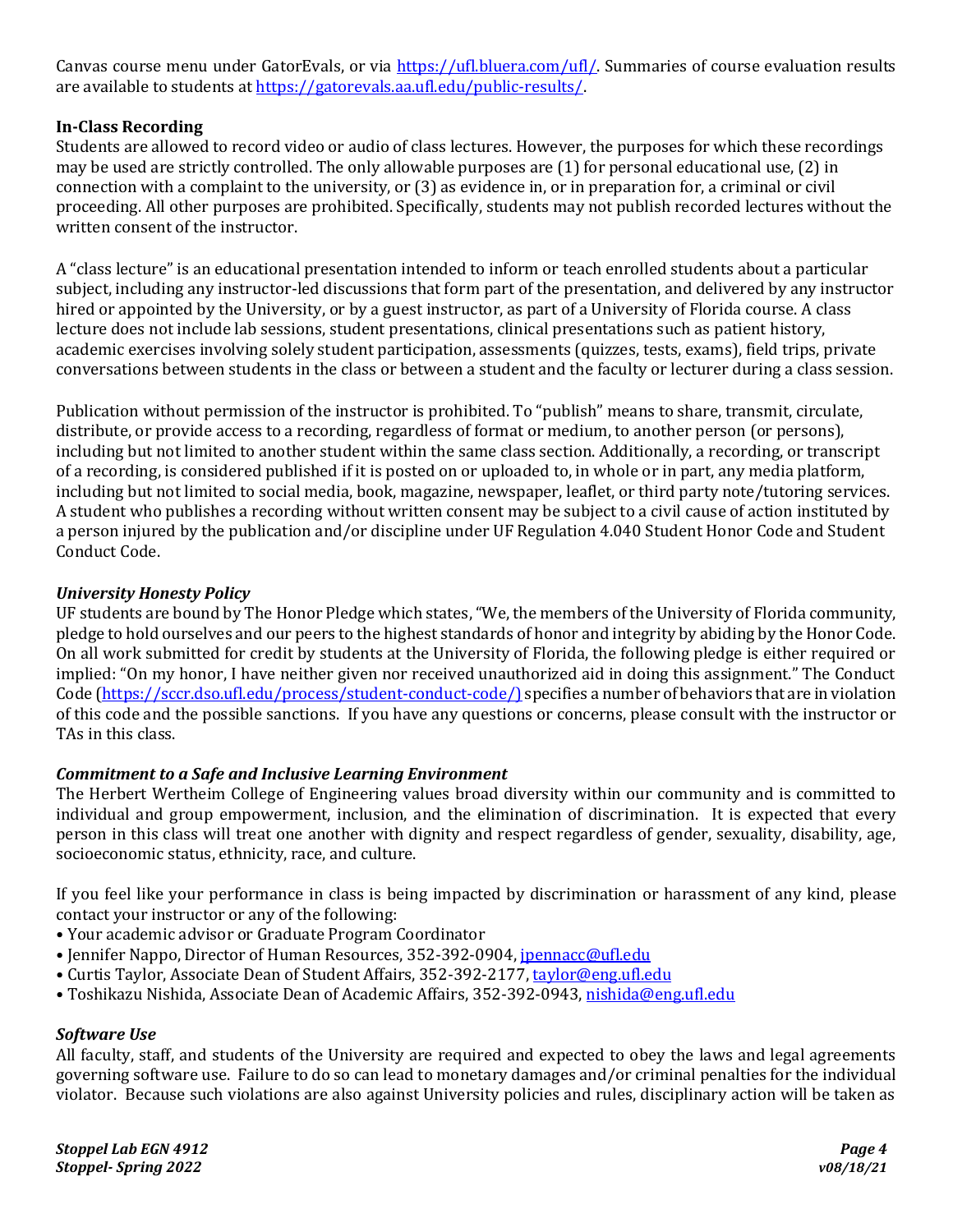Canvas course menu under GatorEvals, or via [https://ufl.bluera.com/ufl/.](https://ufl.bluera.com/ufl/) Summaries of course evaluation results are available to students a[t https://gatorevals.aa.ufl.edu/public-results/.](https://gatorevals.aa.ufl.edu/public-results/)

### **In-Class Recording**

Students are allowed to record video or audio of class lectures. However, the purposes for which these recordings may be used are strictly controlled. The only allowable purposes are (1) for personal educational use, (2) in connection with a complaint to the university, or (3) as evidence in, or in preparation for, a criminal or civil proceeding. All other purposes are prohibited. Specifically, students may not publish recorded lectures without the written consent of the instructor.

A "class lecture" is an educational presentation intended to inform or teach enrolled students about a particular subject, including any instructor-led discussions that form part of the presentation, and delivered by any instructor hired or appointed by the University, or by a guest instructor, as part of a University of Florida course. A class lecture does not include lab sessions, student presentations, clinical presentations such as patient history, academic exercises involving solely student participation, assessments (quizzes, tests, exams), field trips, private conversations between students in the class or between a student and the faculty or lecturer during a class session.

Publication without permission of the instructor is prohibited. To "publish" means to share, transmit, circulate, distribute, or provide access to a recording, regardless of format or medium, to another person (or persons), including but not limited to another student within the same class section. Additionally, a recording, or transcript of a recording, is considered published if it is posted on or uploaded to, in whole or in part, any media platform, including but not limited to social media, book, magazine, newspaper, leaflet, or third party note/tutoring services. A student who publishes a recording without written consent may be subject to a civil cause of action instituted by a person injured by the publication and/or discipline under UF Regulation 4.040 Student Honor Code and Student Conduct Code.

### *University Honesty Policy*

UF students are bound by The Honor Pledge which states, "We, the members of the University of Florida community, pledge to hold ourselves and our peers to the highest standards of honor and integrity by abiding by the Honor Code. On all work submitted for credit by students at the University of Florida, the following pledge is either required or implied: "On my honor, I have neither given nor received unauthorized aid in doing this assignment." The Conduct Code [\(https://sccr.dso.ufl.edu/process/student-conduct-code/\)](https://sccr.dso.ufl.edu/process/student-conduct-code/) specifies a number of behaviors that are in violation of this code and the possible sanctions. If you have any questions or concerns, please consult with the instructor or TAs in this class.

### *Commitment to a Safe and Inclusive Learning Environment*

The Herbert Wertheim College of Engineering values broad diversity within our community and is committed to individual and group empowerment, inclusion, and the elimination of discrimination. It is expected that every person in this class will treat one another with dignity and respect regardless of gender, sexuality, disability, age, socioeconomic status, ethnicity, race, and culture.

If you feel like your performance in class is being impacted by discrimination or harassment of any kind, please contact your instructor or any of the following:

- Your academic advisor or Graduate Program Coordinator
- Jennifer Nappo, Director of Human Resources, 352-392-0904, [jpennacc@ufl.edu](mailto:jpennacc@ufl.edu)
- Curtis Taylor, Associate Dean of Student Affairs, 352-392-2177[, taylor@eng.ufl.edu](mailto:taylor@eng.ufl.edu)
- Toshikazu Nishida, Associate Dean of Academic Affairs, 352-392-0943[, nishida@eng.ufl.edu](mailto:nishida@eng.ufl.edu)

### *Software Use*

All faculty, staff, and students of the University are required and expected to obey the laws and legal agreements governing software use. Failure to do so can lead to monetary damages and/or criminal penalties for the individual violator. Because such violations are also against University policies and rules, disciplinary action will be taken as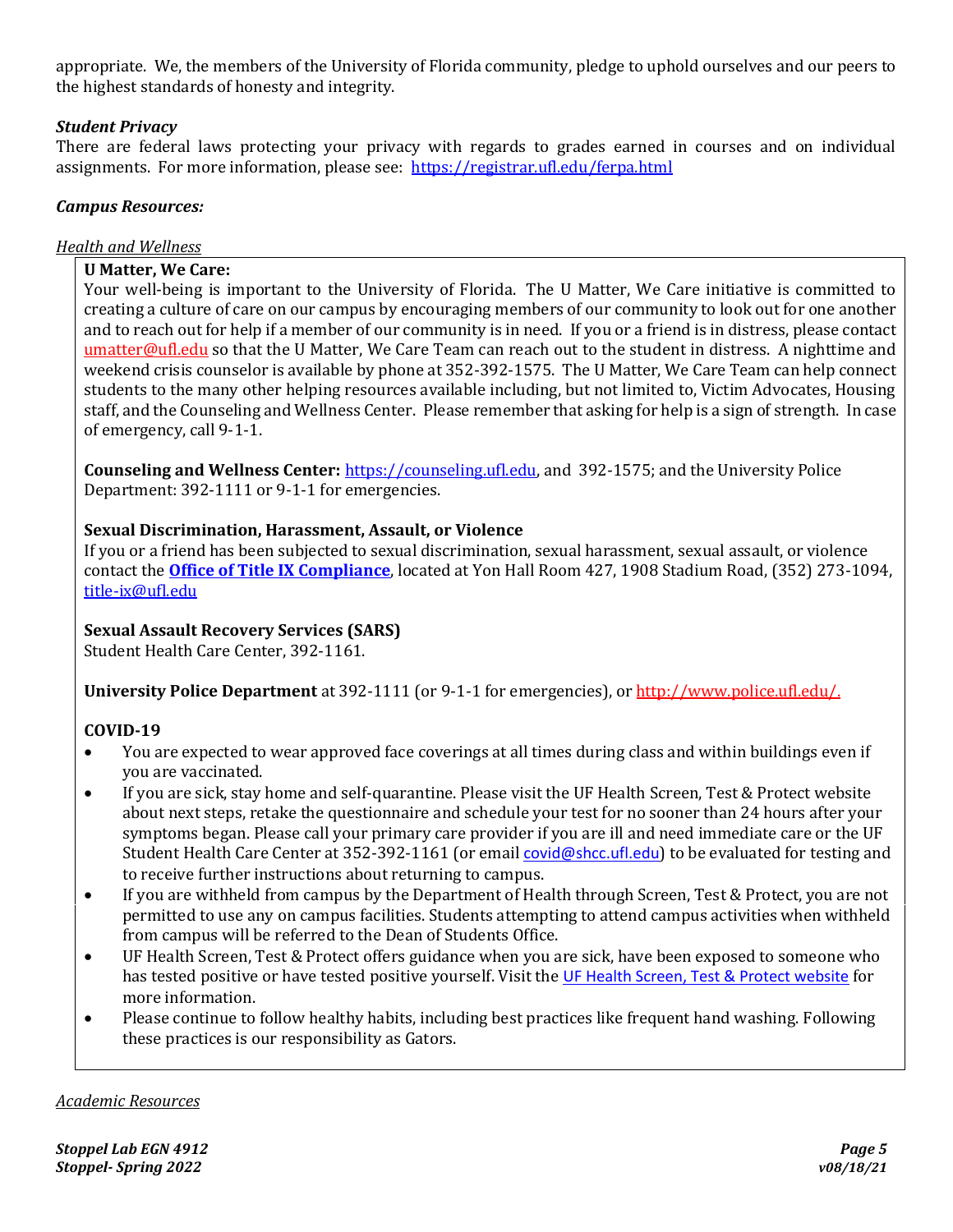appropriate. We, the members of the University of Florida community, pledge to uphold ourselves and our peers to the highest standards of honesty and integrity.

# *Student Privacy*

There are federal laws protecting your privacy with regards to grades earned in courses and on individual assignments. For more information, please see: <https://registrar.ufl.edu/ferpa.html>

### *Campus Resources:*

# *Health and Wellness*

### **U Matter, We Care:**

Your well-being is important to the University of Florida. The U Matter, We Care initiative is committed to creating a culture of care on our campus by encouraging members of our community to look out for one another and to reach out for help if a member of our community is in need. If you or a friend is in distress, please contact [umatter@ufl.edu](mailto:umatter@ufl.edu) so that the U Matter, We Care Team can reach out to the student in distress. A nighttime and weekend crisis counselor is available by phone at 352-392-1575. The U Matter, We Care Team can help connect students to the many other helping resources available including, but not limited to, Victim Advocates, Housing staff, and the Counseling and Wellness Center. Please remember that asking for help is a sign of strength. In case of emergency, call 9-1-1.

**Counseling and Wellness Center:** [https://counseling.ufl.edu,](https://counseling.ufl.edu/) and 392-1575; and the University Police Department: 392-1111 or 9-1-1 for emergencies.

### **Sexual Discrimination, Harassment, Assault, or Violence**

If you or a friend has been subjected to sexual discrimination, sexual harassment, sexual assault, or violence contact the **[Office of Title IX Compliance](https://titleix.ufl.edu/)**, located at Yon Hall Room 427, 1908 Stadium Road, (352) 273-1094, [title-ix@ufl.edu](mailto:title-ix@ufl.edu)

### **Sexual Assault Recovery Services (SARS)**

Student Health Care Center, 392-1161.

**University Police Department** at 392-1111 (or 9-1-1 for emergencies), o[r http://www.police.ufl.edu/.](http://www.police.ufl.edu/)

# **COVID-19**

- You are expected to wear approved face coverings at all times during class and within buildings even if you are vaccinated.
- If you are sick, stay home and self-quarantine. Please visit the UF Health Screen, Test & Protect website about next steps, retake the questionnaire and schedule your test for no sooner than 24 hours after your symptoms began. Please call your primary care provider if you are ill and need immediate care or the UF Student Health Care Center at 352-392-1161 (or email [covid@shcc.ufl.edu](mailto:covid@shcc.ufl.edu)) to be evaluated for testing and to receive further instructions about returning to campus.
- If you are withheld from campus by the Department of Health through Screen, Test & Protect, you are not permitted to use any on campus facilities. Students attempting to attend campus activities when withheld from campus will be referred to the Dean of Students Office.
- UF Health Screen, Test & Protect offers guidance when you are sick, have been exposed to someone who has tested positive or have tested positive yourself. Visit the [UF Health Screen, Test & Protect website](https://click.info.gator360.ufl.edu/?qs=8f0d5e01a3f7385148f144e2089093522a358a8d85cb9db73c31675d3c5e5c0d27748d40c212f544822551342f1912ea5b4f2b890d5952e8) for more information.
- Please continue to follow healthy habits, including best practices like frequent hand washing. Following these practices is our responsibility as Gators.

*Academic Resources*